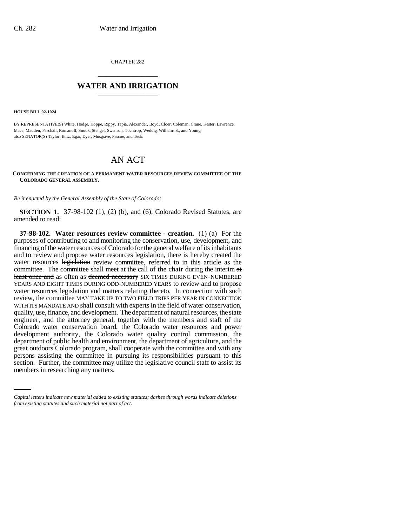CHAPTER 282 \_\_\_\_\_\_\_\_\_\_\_\_\_\_\_

## **WATER AND IRRIGATION** \_\_\_\_\_\_\_\_\_\_\_\_\_\_\_

**HOUSE BILL 02-1024**

BY REPRESENTATIVE(S) White, Hodge, Hoppe, Rippy, Tapia, Alexander, Boyd, Cloer, Coleman, Crane, Kester, Lawrence, Mace, Madden, Paschall, Romanoff, Snook, Stengel, Swenson, Tochtrop, Weddig, Williams S., and Young; also SENATOR(S) Taylor, Entz, Isgar, Dyer, Musgrave, Pascoe, and Teck.

## AN ACT

**CONCERNING THE CREATION OF A PERMANENT WATER RESOURCES REVIEW COMMITTEE OF THE COLORADO GENERAL ASSEMBLY.**

*Be it enacted by the General Assembly of the State of Colorado:*

**SECTION 1.** 37-98-102 (1), (2) (b), and (6), Colorado Revised Statutes, are amended to read:

persons assisting the committee in pursuing its responsibilities pursuant to this **37-98-102. Water resources review committee - creation.** (1) (a) For the purposes of contributing to and monitoring the conservation, use, development, and financing of the water resources of Colorado for the general welfare of its inhabitants and to review and propose water resources legislation, there is hereby created the water resources legislation review committee, referred to in this article as the committee. The committee shall meet at the call of the chair during the interim  $\alpha t$ least once and as often as deemed necessary SIX TIMES DURING EVEN-NUMBERED YEARS AND EIGHT TIMES DURING ODD-NUMBERED YEARS to review and to propose water resources legislation and matters relating thereto. In connection with such review, the committee MAY TAKE UP TO TWO FIELD TRIPS PER YEAR IN CONNECTION WITH ITS MANDATE AND shall consult with experts in the field of water conservation, quality, use, finance, and development. The department of natural resources, the state engineer, and the attorney general, together with the members and staff of the Colorado water conservation board, the Colorado water resources and power development authority, the Colorado water quality control commission, the department of public health and environment, the department of agriculture, and the great outdoors Colorado program, shall cooperate with the committee and with any section. Further, the committee may utilize the legislative council staff to assist its members in researching any matters.

*Capital letters indicate new material added to existing statutes; dashes through words indicate deletions from existing statutes and such material not part of act.*